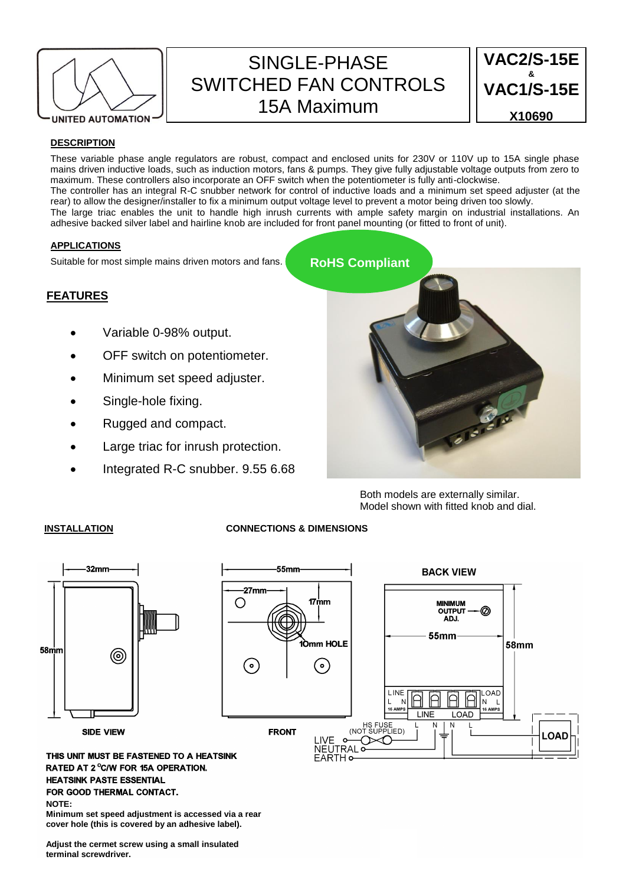

# SINGLE-PHASE SWITCHED FAN CONTROLS 15A Maximum



# **DESCRIPTION**

These variable phase angle regulators are robust, compact and enclosed units for 230V or 110V up to 15A single phase mains driven inductive loads, such as induction motors, fans & pumps. They give fully adjustable voltage outputs from zero to maximum. These controllers also incorporate an OFF switch when the potentiometer is fully anti-clockwise. The controller has an integral R-C snubber network for control of inductive loads and a minimum set speed adjuster (at the rear) to allow the designer/installer to fix a minimum output voltage level to prevent a motor being driven too slowly. The large triac enables the unit to handle high inrush currents with ample safety margin on industrial installations. An adhesive backed silver label and hairline knob are included for front panel mounting (or fitted to front of unit).

# **APPLICATIONS**

Suitable for most simple mains driven motors and fans.

# **FEATURES**

- Variable 0-98% output.
- OFF switch on potentiometer.
- Minimum set speed adjuster.
- Single-hole fixing.
- Rugged and compact.
- Large triac for inrush protection.
- Integrated R-C snubber. 9.55 6.68



Both models are externally similar. Model shown with fitted knob and dial.

# **INSTALLATION CONNECTIONS & DIMENSIONS**



**HEATSINK PASTE ESSENTIAL** FOR GOOD THERMAL CONTACT. **NOTE:**

**Minimum set speed adjustment is accessed via a rear cover hole (this is covered by an adhesive label).** 

**Adjust the cermet screw using a small insulated terminal screwdriver.**